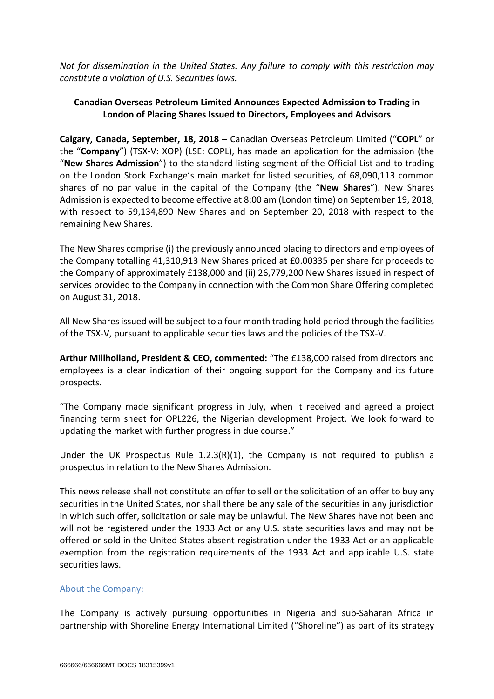*Not for dissemination in the United States. Any failure to comply with this restriction may constitute a violation of U.S. Securities laws.*

# **Canadian Overseas Petroleum Limited Announces Expected Admission to Trading in London of Placing Shares Issued to Directors, Employees and Advisors**

**Calgary, Canada, September, 18, 2018 –** Canadian Overseas Petroleum Limited ("**COPL**" or the "**Company**") (TSX-V: XOP) (LSE: COPL), has made an application for the admission (the "**New Shares Admission**") to the standard listing segment of the Official List and to trading on the London Stock Exchange's main market for listed securities, of 68,090,113 common shares of no par value in the capital of the Company (the "**New Shares**"). New Shares Admission is expected to become effective at 8:00 am (London time) on September 19, 2018, with respect to 59,134,890 New Shares and on September 20, 2018 with respect to the remaining New Shares.

The New Shares comprise (i) the previously announced placing to directors and employees of the Company totalling 41,310,913 New Shares priced at £0.00335 per share for proceeds to the Company of approximately £138,000 and (ii) 26,779,200 New Shares issued in respect of services provided to the Company in connection with the Common Share Offering completed on August 31, 2018.

All New Sharesissued will be subject to a four month trading hold period through the facilities of the TSX-V, pursuant to applicable securities laws and the policies of the TSX-V.

**Arthur Millholland, President & CEO, commented:** "The £138,000 raised from directors and employees is a clear indication of their ongoing support for the Company and its future prospects.

"The Company made significant progress in July, when it received and agreed a project financing term sheet for OPL226, the Nigerian development Project. We look forward to updating the market with further progress in due course."

Under the UK Prospectus Rule 1.2.3(R)(1), the Company is not required to publish a prospectus in relation to the New Shares Admission.

This news release shall not constitute an offer to sell or the solicitation of an offer to buy any securities in the United States, nor shall there be any sale of the securities in any jurisdiction in which such offer, solicitation or sale may be unlawful. The New Shares have not been and will not be registered under the 1933 Act or any U.S. state securities laws and may not be offered or sold in the United States absent registration under the 1933 Act or an applicable exemption from the registration requirements of the 1933 Act and applicable U.S. state securities laws.

# About the Company:

The Company is actively pursuing opportunities in Nigeria and sub-Saharan Africa in partnership with Shoreline Energy International Limited ("Shoreline") as part of its strategy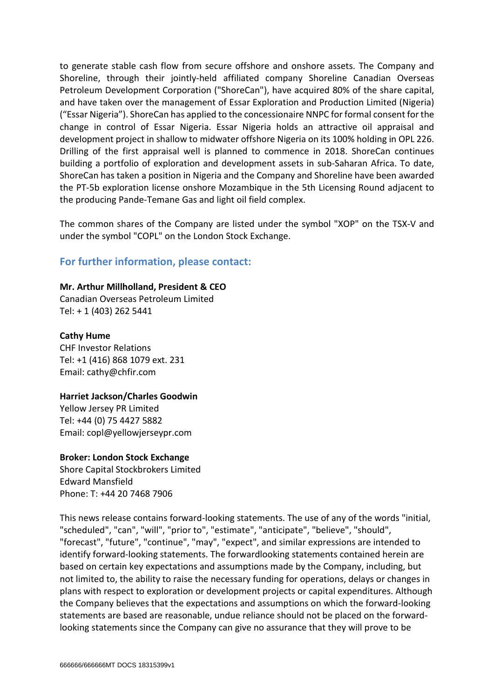to generate stable cash flow from secure offshore and onshore assets. The Company and Shoreline, through their jointly-held affiliated company Shoreline Canadian Overseas Petroleum Development Corporation ("ShoreCan"), have acquired 80% of the share capital, and have taken over the management of Essar Exploration and Production Limited (Nigeria) ("Essar Nigeria"). ShoreCan has applied to the concessionaire NNPC for formal consent for the change in control of Essar Nigeria. Essar Nigeria holds an attractive oil appraisal and development project in shallow to midwater offshore Nigeria on its 100% holding in OPL 226. Drilling of the first appraisal well is planned to commence in 2018. ShoreCan continues building a portfolio of exploration and development assets in sub-Saharan Africa. To date, ShoreCan has taken a position in Nigeria and the Company and Shoreline have been awarded the PT-5b exploration license onshore Mozambique in the 5th Licensing Round adjacent to the producing Pande-Temane Gas and light oil field complex.

The common shares of the Company are listed under the symbol "XOP" on the TSX-V and under the symbol "COPL" on the London Stock Exchange.

# **For further information, please contact:**

### **Mr. Arthur Millholland, President & CEO**

Canadian Overseas Petroleum Limited Tel: + 1 (403) 262 5441

### **Cathy Hume**

CHF Investor Relations Tel: +1 (416) 868 1079 ext. 231 Email: cathy@chfir.com

### **Harriet Jackson/Charles Goodwin**

Yellow Jersey PR Limited Tel: +44 (0) 75 4427 5882 Email: copl@yellowjerseypr.com

#### **Broker: London Stock Exchange**

Shore Capital Stockbrokers Limited Edward Mansfield Phone: T: +44 20 7468 7906

This news release contains forward-looking statements. The use of any of the words "initial, "scheduled", "can", "will", "prior to", "estimate", "anticipate", "believe", "should", "forecast", "future", "continue", "may", "expect", and similar expressions are intended to identify forward-looking statements. The forwardlooking statements contained herein are based on certain key expectations and assumptions made by the Company, including, but not limited to, the ability to raise the necessary funding for operations, delays or changes in plans with respect to exploration or development projects or capital expenditures. Although the Company believes that the expectations and assumptions on which the forward-looking statements are based are reasonable, undue reliance should not be placed on the forwardlooking statements since the Company can give no assurance that they will prove to be